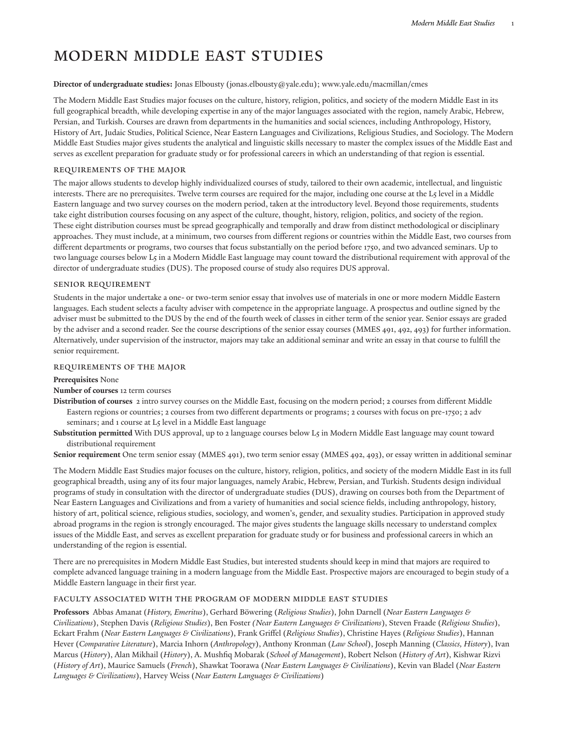# Modern Middle East Studies

#### **Director of undergraduate studies:** Jonas [Elbousty](mailto:jonas.elbousty@yale.edu) (<jonas.elbousty@yale.edu>); [www.yale.edu/macmillan/cmes](http://cmes.macmillan.yale.edu/)

The Modern Middle East Studies major focuses on the culture, history, religion, politics, and society of the modern Middle East in its full geographical breadth, while developing expertise in any of the major languages associated with the region, namely Arabic, Hebrew, Persian, and Turkish. Courses are drawn from departments in the humanities and social sciences, including Anthropology, History, History of Art, Judaic Studies, Political Science, Near Eastern Languages and Civilizations, Religious Studies, and Sociology. The Modern Middle East Studies major gives students the analytical and linguistic skills necessary to master the complex issues of the Middle East and serves as excellent preparation for graduate study or for professional careers in which an understanding of that region is essential.

# requirements Of the Major

The major allows students to develop highly individualized courses of study, tailored to their own academic, intellectual, and linguistic interests. There are no prerequisites. Twelve term courses are required for the major, including one course at the L5 level in a Middle Eastern language and two survey courses on the modern period, taken at the introductory level. Beyond those requirements, students take eight distribution courses focusing on any aspect of the culture, thought, history, religion, politics, and society of the region. These eight distribution courses must be spread geographically and temporally and draw from distinct methodological or disciplinary approaches. They must include, at a minimum, two courses from different regions or countries within the Middle East, two courses from different departments or programs, two courses that focus substantially on the period before 1750, and two advanced seminars. Up to two language courses below L5 in a Modern Middle East language may count toward the distributional requirement with approval of the director of undergraduate studies (DUS). The proposed course of study also requires DUS approval.

# Senior Requirement

Students in the major undertake a one- or two-term senior essay that involves use of materials in one or more modern Middle Eastern languages. Each student selects a faculty adviser with competence in the appropriate language. A prospectus and outline signed by the adviser must be submitted to the DUS by the end of the fourth week of classes in either term of the senior year. Senior essays are graded by the adviser and a second reader. See the course descriptions of the senior essay courses (MMES 491, 492, 493) for further information. Alternatively, under supervision of the instructor, majors may take an additional seminar and write an essay in that course to fulfill the senior requirement.

# REQUIREMENTS OF THE MAJOR

#### **Prerequisites** None

## **Number of courses** 12 term courses

**Distribution of courses** 2 intro survey courses on the Middle East, focusing on the modern period; 2 courses from different Middle Eastern regions or countries; 2 courses from two different departments or programs; 2 courses with focus on pre-1750; 2 adv seminars; and 1 course at L5 level in a Middle East language

**Substitution permitted** With DUS approval, up to 2 language courses below L5 in Modern Middle East language may count toward distributional requirement

**Senior requirement** One term senior essay (MMES 491), two term senior essay (MMES 492, 493), or essay written in additional seminar

The Modern Middle East Studies major focuses on the culture, history, religion, politics, and society of the modern Middle East in its full geographical breadth, using any of its four major languages, namely Arabic, Hebrew, Persian, and Turkish. Students design individual programs of study in consultation with the director of undergraduate studies (DUS), drawing on courses both from the Department of Near Eastern Languages and Civilizations and from a variety of humanities and social science fields, including anthropology, history, history of art, political science, religious studies, sociology, and women's, gender, and sexuality studies. Participation in approved study abroad programs in the region is strongly encouraged. The major gives students the language skills necessary to understand complex issues of the Middle East, and serves as excellent preparation for graduate study or for business and professional careers in which an understanding of the region is essential.

There are no prerequisites in Modern Middle East Studies, but interested students should keep in mind that majors are required to complete advanced language training in a modern language from the Middle East. Prospective majors are encouraged to begin study of a Middle Eastern language in their first year.

# FACULTY ASSOCIATED WITH THE PROGRAM OF MODERN MIDDLE EAST STUDIES

**Professors** Abbas Amanat (*History, Emeritus*), Gerhard Böwering (*Religious Studies*), John Darnell (*Near Eastern Languages & Civilizations*), Stephen Davis (*Religious Studies*), Ben Foster *(Near Eastern Languages & Civilizations*), Steven Fraade (*Religious Studies*), Eckart Frahm (*Near Eastern Languages & Civilizations*), Frank Griffel (*Religious Studies*), Christine Hayes (*Religious Studies*), Hannan Hever (*Comparative Literature*), Marcia Inhorn (*Anthropology*), Anthony Kronman (*Law School*), Joseph Manning (*Classics, History*), Ivan Marcus (*History*), Alan Mikhail (*History*), A. Mushfiq Mobarak (*School of Management*), Robert Nelson (*History of Art*), Kishwar Rizvi (*History of Art*), Maurice Samuels (*French*), Shawkat Toorawa (*Near Eastern Languages & Civilizations*), Kevin van Bladel (*Near Eastern Languages & Civilizations*), Harvey Weiss (*Near Eastern Languages & Civilizations*)